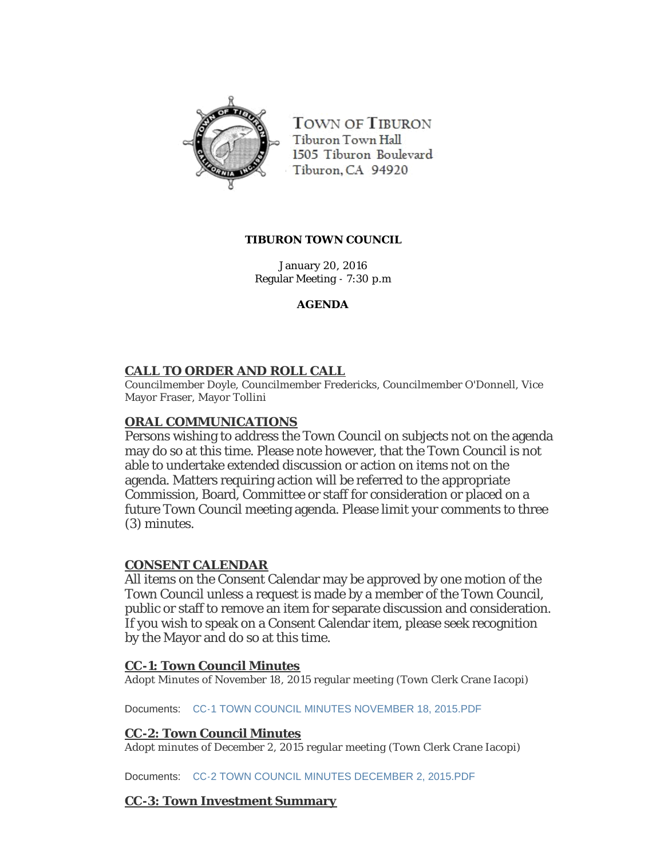

**TOWN OF TIBURON** Tiburon Town Hall 1505 Tiburon Boulevard Tiburon, CA 94920

#### **TIBURON TOWN COUNCIL**

January 20, 2016 Regular Meeting - 7:30 p.m

### **AGENDA**

## **CALL TO ORDER AND ROLL CALL**

Councilmember Doyle, Councilmember Fredericks, Councilmember O'Donnell, Vice Mayor Fraser, Mayor Tollini

## **ORAL COMMUNICATIONS**

Persons wishing to address the Town Council on subjects not on the agenda may do so at this time. Please note however, that the Town Council is not able to undertake extended discussion or action on items not on the agenda. Matters requiring action will be referred to the appropriate Commission, Board, Committee or staff for consideration or placed on a future Town Council meeting agenda. Please limit your comments to three (3) minutes.

## **CONSENT CALENDAR**

All items on the Consent Calendar may be approved by one motion of the Town Council unless a request is made by a member of the Town Council, public or staff to remove an item for separate discussion and consideration. If you wish to speak on a Consent Calendar item, please seek recognition by the Mayor and do so at this time.

## **CC-1: Town Council Minutes**

Adopt Minutes of November 18, 2015 regular meeting (Town Clerk Crane Iacopi)

Documents: [CC-1 TOWN COUNCIL MINUTES NOVEMBER 18, 2015.PDF](http://ca-tiburon.civicplus.com/AgendaCenter/ViewFile/Item/1663?fileID=987)

#### **CC-2: Town Council Minutes**

Adopt minutes of December 2, 2015 regular meeting (Town Clerk Crane Iacopi)

Documents: [CC-2 TOWN COUNCIL MINUTES DECEMBER 2, 2015.PDF](http://ca-tiburon.civicplus.com/AgendaCenter/ViewFile/Item/1664?fileID=988)

#### **CC-3: Town Investment Summary**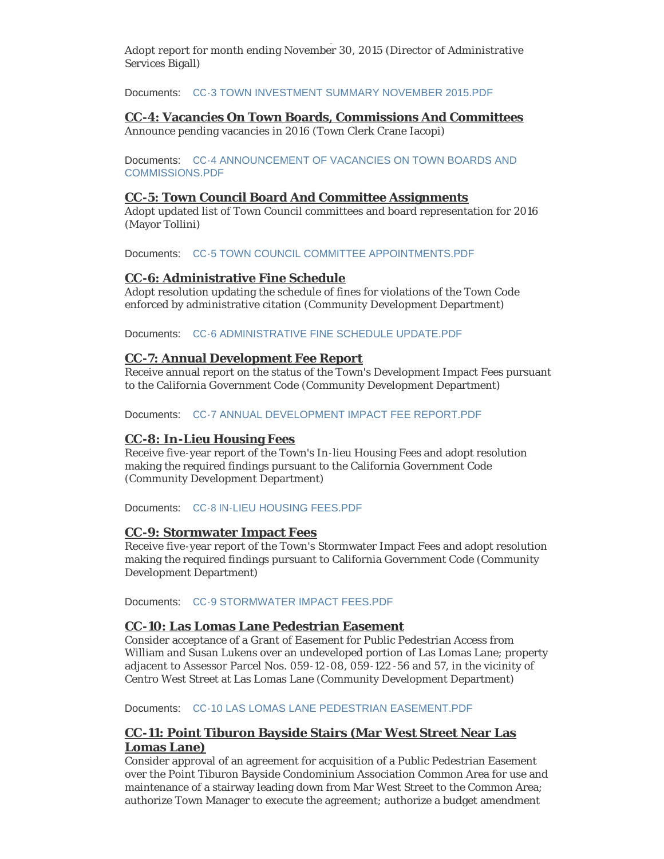**CC-3: Town Investment Summary** Adopt report for month ending November 30, 2015 (Director of Administrative Services Bigall)

Documents: [CC-3 TOWN INVESTMENT SUMMARY NOVEMBER 2015.PDF](http://ca-tiburon.civicplus.com/AgendaCenter/ViewFile/Item/1665?fileID=989)

#### **CC-4: Vacancies On Town Boards, Commissions And Committees**

Announce pending vacancies in 2016 (Town Clerk Crane Iacopi)

Documents: CC-4 ANNOUNCEMENT OF VACANCIES ON TOWN BOARDS AND COMMISSIONS.PDF

#### **CC-5: Town Council Board And Committee Assignments**

Adopt updated list of Town Council committees and board representation for 2016 (Mayor Tollini)

Documents: [CC-5 TOWN COUNCIL COMMITTEE APPOINTMENTS.PDF](http://ca-tiburon.civicplus.com/AgendaCenter/ViewFile/Item/1667?fileID=991)

### **CC-6: Administrative Fine Schedule**

Adopt resolution updating the schedule of fines for violations of the Town Code enforced by administrative citation (Community Development Department)

Documents: [CC-6 ADMINISTRATIVE FINE SCHEDULE UPDATE.PDF](http://ca-tiburon.civicplus.com/AgendaCenter/ViewFile/Item/1668?fileID=992)

### **CC-7: Annual Development Fee Report**

Receive annual report on the status of the Town's Development Impact Fees pursuant to the California Government Code (Community Development Department)

Documents: [CC-7 ANNUAL DEVELOPMENT IMPACT FEE REPORT.PDF](http://ca-tiburon.civicplus.com/AgendaCenter/ViewFile/Item/1669?fileID=993)

## **CC-8: In-Lieu Housing Fees**

Receive five-year report of the Town's In-lieu Housing Fees and adopt resolution making the required findings pursuant to the California Government Code (Community Development Department)

Documents: [CC-8 IN-LIEU HOUSING FEES.PDF](http://ca-tiburon.civicplus.com/AgendaCenter/ViewFile/Item/1670?fileID=994)

#### **CC-9: Stormwater Impact Fees**

Receive five-year report of the Town's Stormwater Impact Fees and adopt resolution making the required findings pursuant to California Government Code (Community Development Department)

Documents: [CC-9 STORMWATER IMPACT FEES.PDF](http://ca-tiburon.civicplus.com/AgendaCenter/ViewFile/Item/1671?fileID=995)

#### **CC-10: Las Lomas Lane Pedestrian Easement**

Consider acceptance of a Grant of Easement for Public Pedestrian Access from William and Susan Lukens over an undeveloped portion of Las Lomas Lane; property adjacent to Assessor Parcel Nos. 059-12 -08, 059-122 -56 and 57, in the vicinity of Centro West Street at Las Lomas Lane (Community Development Department)

Documents: [CC-10 LAS LOMAS LANE PEDESTRIAN EASEMENT.PDF](http://ca-tiburon.civicplus.com/AgendaCenter/ViewFile/Item/1672?fileID=996)

## **CC-11: Point Tiburon Bayside Stairs (Mar West Street Near Las Lomas Lane)**

Consider approval of an agreement for acquisition of a Public Pedestrian Easement over the Point Tiburon Bayside Condominium Association Common Area for use and maintenance of a stairway leading down from Mar West Street to the Common Area; authorize Town Manager to execute the agreement; authorize a budget amendment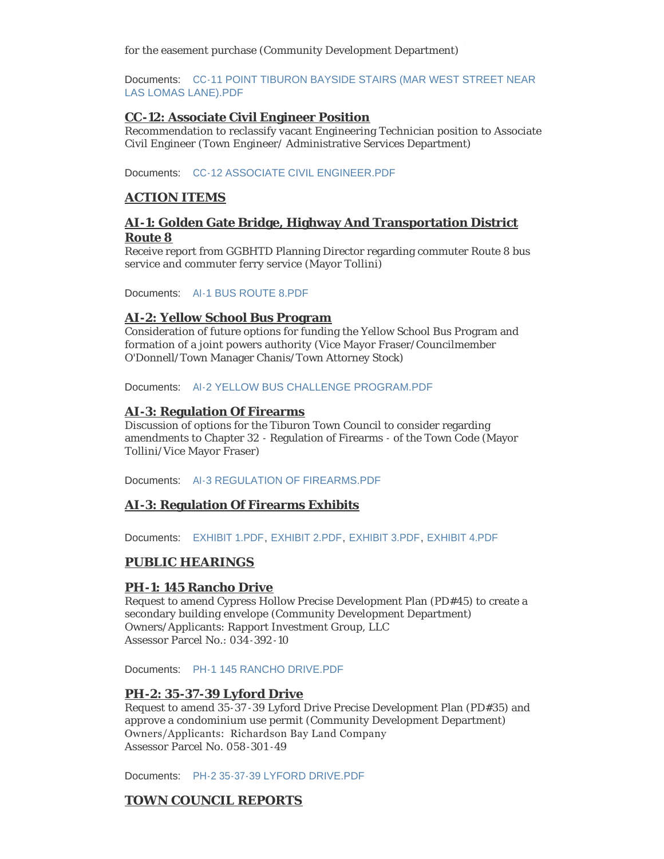for the easement purchase (Community Development Department)

Documents: CC-11 POINT TIBURON BAYSIDE STAIRS (MAR WEST STREET NEAR LAS LOMAS LANE).PDF

#### **CC-12: Associate Civil Engineer Position**

Recommendation to reclassify vacant Engineering Technician position to Associate Civil Engineer (Town Engineer/ Administrative Services Department)

Documents: [CC-12 ASSOCIATE CIVIL ENGINEER.PDF](http://ca-tiburon.civicplus.com/AgendaCenter/ViewFile/Item/1676?fileID=1000)

#### **ACTION ITEMS**

### **AI-1: Golden Gate Bridge, Highway And Transportation District Route 8**

Receive report from GGBHTD Planning Director regarding commuter Route 8 bus service and commuter ferry service (Mayor Tollini)

Documents: [AI-1 BUS ROUTE 8.PDF](http://ca-tiburon.civicplus.com/AgendaCenter/ViewFile/Item/1679?fileID=1006)

#### **AI-2: Yellow School Bus Program**

Consideration of future options for funding the Yellow School Bus Program and formation of a joint powers authority (Vice Mayor Fraser/Councilmember O'Donnell/Town Manager Chanis/Town Attorney Stock)

Documents: [AI-2 YELLOW BUS CHALLENGE PROGRAM.PDF](http://ca-tiburon.civicplus.com/AgendaCenter/ViewFile/Item/1680?fileID=1007)

#### **AI-3: Regulation Of Firearms**

Discussion of options for the Tiburon Town Council to consider regarding amendments to Chapter 32 - Regulation of Firearms - of the Town Code (Mayor Tollini/Vice Mayor Fraser)

Documents: [AI-3 REGULATION OF FIREARMS.PDF](http://ca-tiburon.civicplus.com/AgendaCenter/ViewFile/Item/1677?fileID=1001)

#### **AI-3: Regulation Of Firearms Exhibits**

Documents: [EXHIBIT 1.PDF](http://ca-tiburon.civicplus.com/AgendaCenter/ViewFile/Item/1678?fileID=1003), [EXHIBIT 2.PDF](http://ca-tiburon.civicplus.com/AgendaCenter/ViewFile/Item/1678?fileID=1002), [EXHIBIT 3.PDF](http://ca-tiburon.civicplus.com/AgendaCenter/ViewFile/Item/1678?fileID=1004), [EXHIBIT 4.PDF](http://ca-tiburon.civicplus.com/AgendaCenter/ViewFile/Item/1678?fileID=1005)

#### **PUBLIC HEARINGS**

#### **PH-1: 145 Rancho Drive**

Request to amend Cypress Hollow Precise Development Plan (PD#45) to create a secondary building envelope (Community Development Department) Owners/Applicants: Rapport Investment Group, LLC Assessor Parcel No.: 034-392 -10

Documents: [PH-1 145 RANCHO DRIVE.PDF](http://ca-tiburon.civicplus.com/AgendaCenter/ViewFile/Item/1674?fileID=998)

#### **PH-2: 35-37-39 Lyford Drive**

Request to amend 35-37 -39 Lyford Drive Precise Development Plan (PD#35) and approve a condominium use permit (Community Development Department) Owners/Applicants: Richardson Bay Land Company Assessor Parcel No. 058-301 -49

Documents: [PH-2 35-37-39 LYFORD DRIVE.PDF](http://ca-tiburon.civicplus.com/AgendaCenter/ViewFile/Item/1675?fileID=999)

#### **TOWN COUNCIL REPORTS**